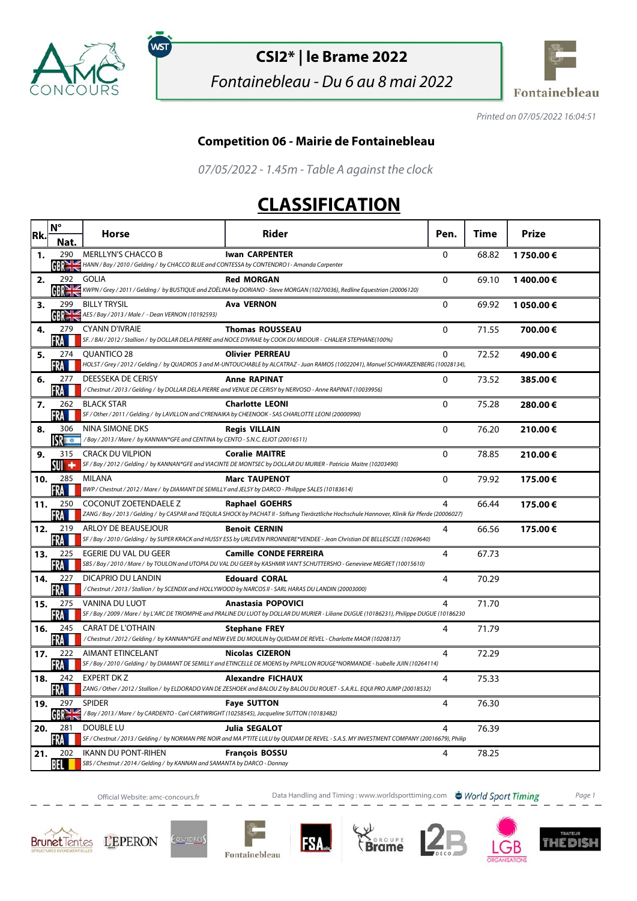

์พร

# **CSI2\* | le Brame 2022**

Fontainebleau - Du 6 au 8 mai 2022



Printed on 07/05/2022 16:04:51

#### **Competition 06 - Mairie de Fontainebleau**

07/05/2022 - 1.45m - Table A against the clock

# **CLASSIFICATION**

|     | $N^{\circ}$                        | <b>Horse</b>                                                                                                              | <b>Rider</b>                                                                                                                                                               | Pen.         | Time  | Prize      |
|-----|------------------------------------|---------------------------------------------------------------------------------------------------------------------------|----------------------------------------------------------------------------------------------------------------------------------------------------------------------------|--------------|-------|------------|
| Rk. | Nat.                               |                                                                                                                           |                                                                                                                                                                            |              |       |            |
| 1.  | 290<br>GR <sub>1</sub>             | <b>MERLLYN'S CHACCO B</b><br>HANN / Bay / 2010 / Gelding / by CHACCO BLUE and CONTESSA by CONTENDRO I - Amanda Carpenter  | <b>Iwan CARPENTER</b>                                                                                                                                                      | $\mathbf 0$  | 68.82 | 1750.00€   |
| 2.  | 292                                | <b>GOLIA</b>                                                                                                              | <b>Red MORGAN</b><br>KWPN / Grey / 2011 / Gelding / by BUSTIQUE and ZOËLINA by DORIANO - Steve MORGAN (10270036), Redline Equestrian (20006120)                            | 0            | 69.10 | 1400.00€   |
| 3.  | 299                                | <b>BILLY TRYSIL</b><br>$\frac{1}{2}$ AES / Bay / 2013 / Male / - Dean VERNON (10192593)                                   | <b>Ava VERNON</b>                                                                                                                                                          | $\Omega$     | 69.92 | 1 050.00 € |
| 4.  | 279<br>FRA                         | <b>CYANN D'IVRAIE</b>                                                                                                     | <b>Thomas ROUSSEAU</b><br>SF. / BAI / 2012 / Stallion / by DOLLAR DELA PIERRE and NOCE D'IVRAIE by COOK DU MIDOUR - CHALIER STEPHANE(100%)                                 | $\mathbf{0}$ | 71.55 | 700.00€    |
| 5.  | 274<br>·RA                         | QUANTICO 28                                                                                                               | <b>Olivier PERREAU</b><br>HOLST / Grey / 2012 / Gelding / by QUADROS 3 and M-UNTOUCHABLE by ALCATRAZ - Juan RAMOS (10022041), Manuel SCHWARZENBERG (10028134),             | 0            | 72.52 | 490.00€    |
| 6.  | 277<br>FRA                         | DEESSEKA DE CERISY                                                                                                        | <b>Anne RAPINAT</b><br>/Chestnut / 2013 / Gelding / by DOLLAR DELA PIERRE and VENUE DE CERISY by NERVOSO - Anne RAPINAT (10039956)                                         | $\Omega$     | 73.52 | 385.00€    |
| 7.  | 262<br>FRA                         | <b>BLACK STAR</b><br>SF / Other / 2011 / Gelding / by LAVILLON and CYRENAIKA by CHEENOOK - SAS CHARLOTTE LEONI (20000990) | <b>Charlotte LEONI</b>                                                                                                                                                     | $\Omega$     | 75.28 | 280.00€    |
| 8.  | 306<br>$\mathbf{S}$ , $\mathbf{C}$ | <b>NINA SIMONE DKS</b><br>/Bay / 2013 / Mare / by KANNAN*GFE and CENTINA by CENTO - S.N.C. ELIOT (20016511)               | <b>Regis VILLAIN</b>                                                                                                                                                       | 0            | 76.20 | 210.00€    |
| 9.  | 315<br>su +                        | <b>CRACK DU VILPION</b>                                                                                                   | <b>Coralie MAITRE</b><br>SF / Bay / 2012 / Gelding / by KANNAN*GFE and VIACINTE DE MONTSEC by DOLLAR DU MURIER - Patricia Maitre (10203490)                                | $\Omega$     | 78.85 | 210.00€    |
| 10. | 285<br><b>RA</b>                   | MILANA<br>BWP / Chestnut / 2012 / Mare / by DIAMANT DE SEMILLY and JELSY by DARCO - Philippe SALES (10183614)             | <b>Marc TAUPENOT</b>                                                                                                                                                       | 0            | 79.92 | 175.00€    |
| 11. | 250<br>FRA I                       | COCONUT ZOETENDAELE Z                                                                                                     | <b>Raphael GOEHRS</b><br>ZANG / Bay / 2013 / Gelding / by CASPAR and TEQUILA SHOCK by PACHAT II - Stiftung Tierärztliche Hochschule Hannover, Klinik für Pferde (20006027) | 4            | 66.44 | 175.00€    |
| 12. | 219<br>FRA                         | ARLOY DE BEAUSEJOUR                                                                                                       | <b>Benoit CERNIN</b><br>SF / Bay / 2010 / Gelding / by SUPER KRACK and HUSSY ESS by URLEVEN PIRONNIERE*VENDEE - Jean Christian DE BELLESCIZE (10269640)                    | 4            | 66.56 | 175.00€    |
| 13. | 225<br>FRA                         | EGERIE DU VAL DU GEER                                                                                                     | <b>Camille CONDE FERREIRA</b><br>SBS / Bay / 2010 / Mare / by TOULON and UTOPIA DU VAL DU GEER by KASHMIR VAN'T SCHUTTERSHO - Genevieve MEGRET (10015610)                  | 4            | 67.73 |            |
| 14. | 227<br>FRA L                       | DICAPRIO DU LANDIN                                                                                                        | <b>Edouard CORAL</b><br>/Chestnut / 2013 / Stallion / by SCENDIX and HOLLYWOOD by NARCOS II - SARL HARAS DU LANDIN (20003000)                                              | 4            | 70.29 |            |
| 15. | 275<br><b>FRA</b>                  | VANINA DU LUOT                                                                                                            | Anastasia POPOVICI<br>SF / Bay / 2009 / Mare / by L'ARC DE TRIOMPHE and PRALINE DU LUOT by DOLLAR DU MURIER - Liliane DUGUE (10186231), Philippe DUGUE (10186230           | 4            | 71.70 |            |
| 16. | 245<br>FRA                         | <b>CARAT DE L'OTHAIN</b>                                                                                                  | <b>Stephane FREY</b><br>/Chestnut/2012/Gelding/by KANNAN*GFE and NEW EVE DU MOULIN by QUIDAM DE REVEL - Charlotte MAOR (10208137)                                          | 4            | 71.79 |            |
| 17. | 222<br>FRA                         | <b>AIMANT ETINCELANT</b>                                                                                                  | <b>Nicolas CIZERON</b><br>SF / Bay / 2010 / Gelding / by DIAMANT DE SEMILLY and ETINCELLE DE MOENS by PAPILLON ROUGE*NORMANDIE - Isabelle JUIN (10264114)                  | 4            | 72.29 |            |
| 18. | 242<br>FRA                         | <b>EXPERT DK Z</b>                                                                                                        | <b>Alexandre FICHAUX</b><br>ZANG / Other / 2012 / Stallion / by ELDORADO VAN DE ZESHOEK and BALOU Z by BALOU DU ROUET - S.A.R.L. EQUI PRO JUMP (20018532)                  | 4            | 75.33 |            |
| 19. | 297<br>GBRE                        | <b>SPIDER</b><br>/Bay / 2013 / Mare / by CARDENTO - Carl CARTWRIGHT (10258545), Jacqueline SUTTON (10183482)              | <b>Faye SUTTON</b>                                                                                                                                                         | 4            | 76.30 |            |
| 20. | 281<br>FRA                         | DOUBLE LU                                                                                                                 | <b>Julia SEGALOT</b><br>SF / Chestnut / 2013 / Gelding / by NORMAN PRE NOIR and MA PTITE LULU by QUIDAM DE REVEL - S.A.S. MY INVESTMENT COMPANY (20016679), Philip         | 4            | 76.39 |            |
| 21. | 202<br>BEL I                       | <b>IKANN DU PONT-RIHEN</b><br>SBS / Chestnut / 2014 / Gelding / by KANNAN and SAMANTA by DARCO - Donnay                   | <b>François BOSSU</b>                                                                                                                                                      | 4            | 78.25 |            |

Official Website: amc-concours.fr **Data Handling and Timing : www.worldsporttiming.com World Sport Timing** Page 1









QUIDRES







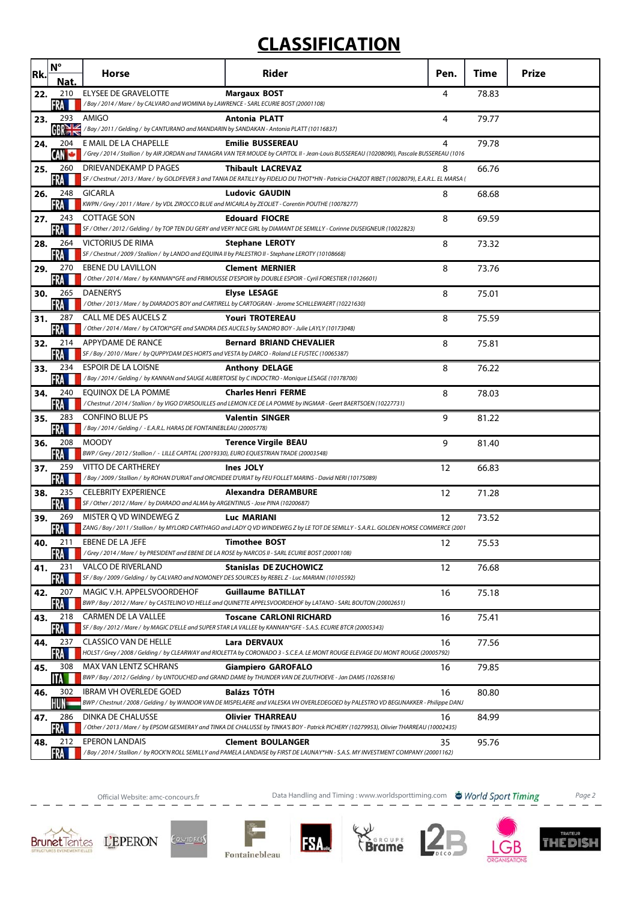# **CLASSIFICATION**

| Rk. | $N^{\circ}$<br>Nat.    | Horse                                                                                                                            | <b>Rider</b>                                                                                                                                                                | Pen. | <b>Time</b> | <b>Prize</b> |
|-----|------------------------|----------------------------------------------------------------------------------------------------------------------------------|-----------------------------------------------------------------------------------------------------------------------------------------------------------------------------|------|-------------|--------------|
| 22. | 210                    | <b>ELYSEE DE GRAVELOTTE</b>                                                                                                      | <b>Margaux BOST</b>                                                                                                                                                         | 4    | 78.83       |              |
| 23. | FRA<br>293             | /Bay / 2014 / Mare / by CALVARO and WOMINA by LAWRENCE - SARL ECURIE BOST (20001108)<br>AMIGO                                    | <b>Antonia PLATT</b>                                                                                                                                                        | 4    | 79.77       |              |
| 24. | GR <sub>2</sub><br>204 | /Bay/2011/Gelding/by CANTURANO and MANDARIN by SANDAKAN - Antonia PLATT (10116837)<br>E MAIL DE LA CHAPELLE                      | <b>Emilie BUSSEREAU</b>                                                                                                                                                     | 4    | 79.78       |              |
|     | LAN                    |                                                                                                                                  | Grey / 2014 / Stallion / by AIR JORDAN and TANAGRA VAN TER MOUDE by CAPITOL II - Jean-Louis BUSSEREAU (10208090), Pascale BUSSEREAU (1016                                   |      |             |              |
| 25. | 260                    | DRIEVANDEKAMP D PAGES                                                                                                            | <b>Thibault LACREVAZ</b><br>SF / Chestnut / 2013 / Mare / by GOLDFEVER 3 and TANIA DE RATILLY by FIDELIO DU THOT*HN - Patricia CHAZOT RIBET (10028079), E.A.R.L. EL MARSA ( | 8    | 66.76       |              |
| 26. | 248<br>FRA             | <b>GICARLA</b><br>KWPN / Grey / 2011 / Mare / by VDL ZIROCCO BLUE and MICARLA by ZEOLIET - Corentin POUTHE (10078277)            | <b>Ludovic GAUDIN</b>                                                                                                                                                       | 8    | 68.68       |              |
| 27. | 243<br>FRA             | <b>COTTAGE SON</b>                                                                                                               | <b>Edouard FIOCRE</b><br>SF / Other / 2012 / Gelding / by TOP TEN DU GERY and VERY NICE GIRL by DIAMANT DE SEMILLY - Corinne DUSEIGNEUR (10022823)                          | 8    | 69.59       |              |
| 28. | 264                    | VICTORIUS DE RIMA                                                                                                                | <b>Stephane LEROTY</b>                                                                                                                                                      | 8    | 73.32       |              |
| 29. | FRA<br>270             | SF / Chestnut / 2009 / Stallion / by LANDO and EQUINA II by PALESTRO II - Stephane LEROTY (10108668)<br><b>EBENE DU LAVILLON</b> | <b>Clement MERNIER</b>                                                                                                                                                      | 8    | 73.76       |              |
|     | FRA                    |                                                                                                                                  | / Other / 2014 / Mare / by KANNAN*GFE and FRIMOUSSE D'ESPOIR by DOUBLE ESPOIR - Cyril FORESTIER (10126601)                                                                  |      |             |              |
| 30. | 265<br>FRA             | <b>DAENERYS</b>                                                                                                                  | <b>Elyse LESAGE</b><br>/ Other / 2013 / Mare / by DIARADO'S BOY and CARTIRELL by CARTOGRAN - Jerome SCHILLEWAERT (10221630)                                                 | 8    | 75.01       |              |
| 31. | 287<br>FRA I           | CALL ME DES AUCELS Z<br>Other / 2014 / Mare / by CATOKI*GFE and SANDRA DES AUCELS by SANDRO BOY - Julie LAYLY (10173048) /       | <b>Youri TROTEREAU</b>                                                                                                                                                      | 8    | 75.59       |              |
| 32. | 214<br>FRA             | APPYDAME DE RANCE<br>SF / Bay / 2010 / Mare / by QUPPYDAM DES HORTS and VESTA by DARCO - Roland LE FUSTEC (10065387)             | <b>Bernard BRIAND CHEVALIER</b>                                                                                                                                             | 8    | 75.81       |              |
| 33. | 234                    | ESPOIR DE LA LOISNE                                                                                                              | <b>Anthony DELAGE</b>                                                                                                                                                       | 8    | 76.22       |              |
| 34. | FRA<br>240             | /Bay / 2014 / Gelding / by KANNAN and SAUGE AUBERTOISE by C INDOCTRO - Monique LESAGE (10178700)<br>EQUINOX DE LA POMME          | <b>Charles Henri FERME</b>                                                                                                                                                  | 8    | 78.03       |              |
|     | <b>FRA</b><br>283      | <b>CONFINO BLUE PS</b>                                                                                                           | / Chestnut / 2014 / Stallion / by VIGO D'ARSOUILLES and LEMON ICE DE LA POMME by INGMAR - Geert BAERTSOEN (10227731)<br><b>Valentin SINGER</b>                              | 9    | 81.22       |              |
| 35. | FRA <b>I</b>           | /Bay / 2014 / Gelding / - E.A.R.L. HARAS DE FONTAINEBLEAU (20005778)                                                             |                                                                                                                                                                             |      |             |              |
| 36. | 208<br>FRA             | <b>MOODY</b><br>BWP / Grey / 2012 / Stallion / - LILLE CAPITAL (20019330), EURO EQUESTRIAN TRADE (20003548)                      | <b>Terence Virgile BEAU</b>                                                                                                                                                 | 9    | 81.40       |              |
| 37. | 259<br>FRA             | <b>VITTO DE CARTHEREY</b>                                                                                                        | Ines JOLY<br>/Bay / 2009 / Stallion / by ROHAN D'URIAT and ORCHIDEE D'URIAT by FEU FOLLET MARINS - David NERI (10175089)                                                    | 12   | 66.83       |              |
| 38. | 235<br>FRA             | <b>CELEBRITY EXPERIENCE</b><br>SF / Other / 2012 / Mare / by DIARADO and ALMA by ARGENTINUS - Jose PINA (10200687)               | <b>Alexandra DERAMBURE</b>                                                                                                                                                  | 12   | 71.28       |              |
| 39. | 269                    | MISTER Q VD WINDEWEG Z                                                                                                           | Luc MARIANI                                                                                                                                                                 | 12   | 73.52       |              |
| 40. | FRA<br>211             | EBENE DE LA JEFE                                                                                                                 | ZANG / Bay / 2011 / Stallion / by MYLORD CARTHAGO and LADY Q VD WINDEWEG Z by LE TOT DE SEMILLY - S.A.R.L. GOLDEN HORSE COMMERCE (2001<br><b>Timothee BOST</b>              | 12   | 75.53       |              |
|     | FRA                    | /Grey / 2014 / Mare / by PRESIDENT and EBENE DE LA ROSE by NARCOS II - SARL ECURIE BOST (20001108)                               |                                                                                                                                                                             |      |             |              |
| 41. | 231<br>FRA             | <b>VALCO DE RIVERLAND</b><br>SF / Bay / 2009 / Gelding / by CALVARO and NOMONEY DES SOURCES by REBEL Z - Luc MARIANI (10105592)  | <b>Stanislas DE ZUCHOWICZ</b>                                                                                                                                               | 12   | 76.68       |              |
| 42. | 207<br>FRA             | MAGIC V.H. APPELSVOORDEHOF                                                                                                       | <b>Guillaume BATILLAT</b><br>BWP / Bay / 2012 / Mare / by CASTELINO VD HELLE and QUINETTE APPELSVOORDEHOF by LATANO - SARL BOUTON (20002651)                                | 16   | 75.18       |              |
| 43. | 218<br>FRA             | <b>CARMEN DE LA VALLEE</b>                                                                                                       | <b>Toscane CARLONI RICHARD</b><br>SF / Bay / 2012 / Mare / by MAGIC D'ELLE and SUPER STAR LA VALLEE by KANNAN*GFE - S.A.S. ECURIE BTCR (20005343)                           | 16   | 75.41       |              |
| 44. | 237                    | <b>CLASSICO VAN DE HELLE</b>                                                                                                     | <b>Lara DERVAUX</b><br>HOLST / Grey / 2008 / Gelding / by CLEARWAY and RIOLETTA by CORONADO 3 - S.C.E.A. LE MONT ROUGE ELEVAGE DU MONT ROUGE (20005792)                     | 16   | 77.56       |              |
| 45. | FRA<br>308             | MAX VAN LENTZ SCHRANS                                                                                                            | <b>Giampiero GAROFALO</b>                                                                                                                                                   | 16   | 79.85       |              |
| 46. | ΙTΑ<br>302             | <b>IBRAM VH OVERLEDE GOED</b>                                                                                                    | BWP / Bay / 2012 / Gelding / by UNTOUCHED and GRAND DAME by THUNDER VAN DE ZUUTHOEVE - Jan DAMS (10265816)<br><b>Balázs TÓTH</b>                                            | 16   | 80.80       |              |
| 47. | HUN=<br>286            | DINKA DE CHALUSSE                                                                                                                | BWP / Chestnut / 2008 / Gelding / by WANDOR VAN DE MISPELAERE and VALESKA VH OVERLEDEGOED by PALESTRO VD BEGIJNAKKER - Philippe DANJ<br><b>Olivier THARREAU</b>             | 16   | 84.99       |              |
|     | FRA                    |                                                                                                                                  | / Other / 2013 / Mare / by EPSOM GESMERAY and TINKA DE CHALUSSE by TINKA'S BOY - Patrick PICHERY (10279953), Olivier THARREAU (10002435)                                    |      |             |              |
| 48. | 212<br><b>FRA</b>      | <b>EPERON LANDAIS</b>                                                                                                            | <b>Clement BOULANGER</b><br>/Bay / 2014 / Stallion / by ROCK'N ROLL SEMILLY and PAMELA LANDAISE by FIRST DE LAUNAY*HN - S.A.S. MY INVESTMENT COMPANY (20001162)             | 35   | 95.76       |              |

Official Website: amc-concours.fr Data Handling and Timing : www.worldsporttiming.com Page 2

 $\mathcal{C}$